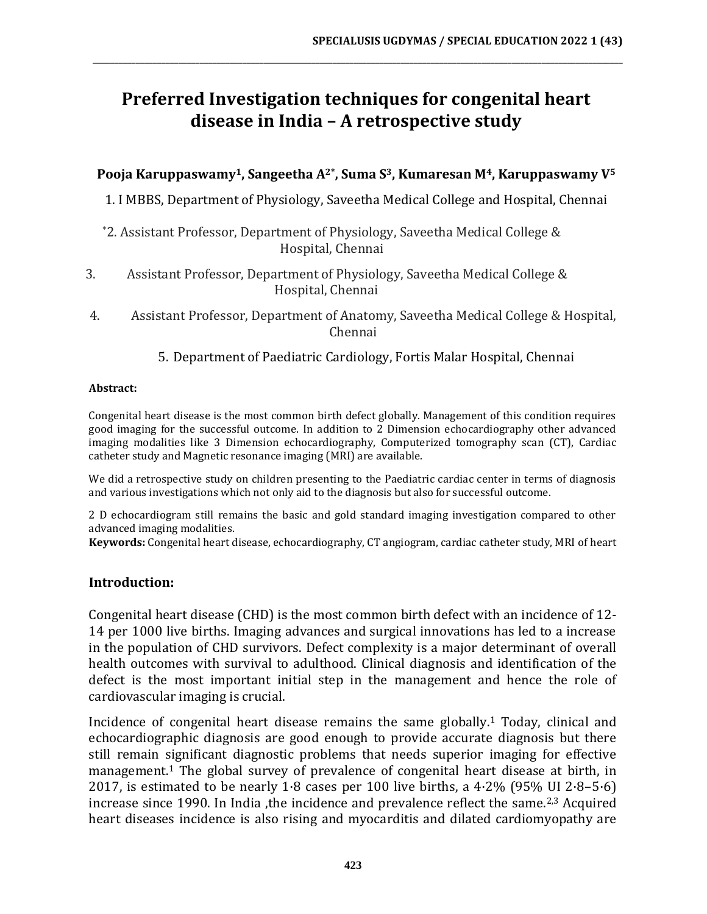# **Preferred Investigation techniques for congenital heart disease in India – A retrospective study**

**\_\_\_\_\_\_\_\_\_\_\_\_\_\_\_\_\_\_\_\_\_\_\_\_\_\_\_\_\_\_\_\_\_\_\_\_\_\_\_\_\_\_\_\_\_\_\_\_\_\_\_\_\_\_\_\_\_\_\_\_\_\_\_\_\_\_\_\_\_\_\_\_\_\_\_\_\_\_\_\_\_\_\_\_\_\_\_\_\_\_\_\_\_\_\_\_\_\_\_\_\_\_\_\_\_\_\_\_\_\_\_\_\_\_\_\_\_\_\_\_\_\_\_\_**

### **Pooja Karuppaswamy1, Sangeetha A2\*, Suma S3, Kumaresan M4, Karuppaswamy V<sup>5</sup>**

1. I MBBS, Department of Physiology, Saveetha Medical College and Hospital, Chennai

\*2. Assistant Professor, Department of Physiology, Saveetha Medical College & Hospital, Chennai

- 3. Assistant Professor, Department of Physiology, Saveetha Medical College & Hospital, Chennai
- 4. Assistant Professor, Department of Anatomy, Saveetha Medical College & Hospital, Chennai

5. Department of Paediatric Cardiology, Fortis Malar Hospital, Chennai

#### **Abstract:**

Congenital heart disease is the most common birth defect globally. Management of this condition requires good imaging for the successful outcome. In addition to 2 Dimension echocardiography other advanced imaging modalities like 3 Dimension echocardiography, Computerized tomography scan (CT), Cardiac catheter study and Magnetic resonance imaging (MRI) are available.

We did a retrospective study on children presenting to the Paediatric cardiac center in terms of diagnosis and various investigations which not only aid to the diagnosis but also for successful outcome.

2 D echocardiogram still remains the basic and gold standard imaging investigation compared to other advanced imaging modalities.

**Keywords:** Congenital heart disease, echocardiography, CT angiogram, cardiac catheter study, MRI of heart

#### **Introduction:**

Congenital heart disease (CHD) is the most common birth defect with an incidence of 12- 14 per 1000 live births. Imaging advances and surgical innovations has led to a increase in the population of CHD survivors. Defect complexity is a major determinant of overall health outcomes with survival to adulthood. Clinical diagnosis and identification of the defect is the most important initial step in the management and hence the role of cardiovascular imaging is crucial.

Incidence of congenital heart disease remains the same globally.<sup>1</sup> Today, clinical and echocardiographic diagnosis are good enough to provide accurate diagnosis but there still remain significant diagnostic problems that needs superior imaging for effective management.<sup>1</sup> The global survey of prevalence of congenital heart disease at birth, in 2017, is estimated to be nearly 1 $\cdot$ 8 cases per 100 live births, a 4 $\cdot$ 2% (95% UI 2 $\cdot$ 8–5 $\cdot$ 6) increase since 1990. In India , the incidence and prevalence reflect the same.<sup>2,3</sup> Acquired heart diseases incidence is also rising and myocarditis and dilated cardiomyopathy are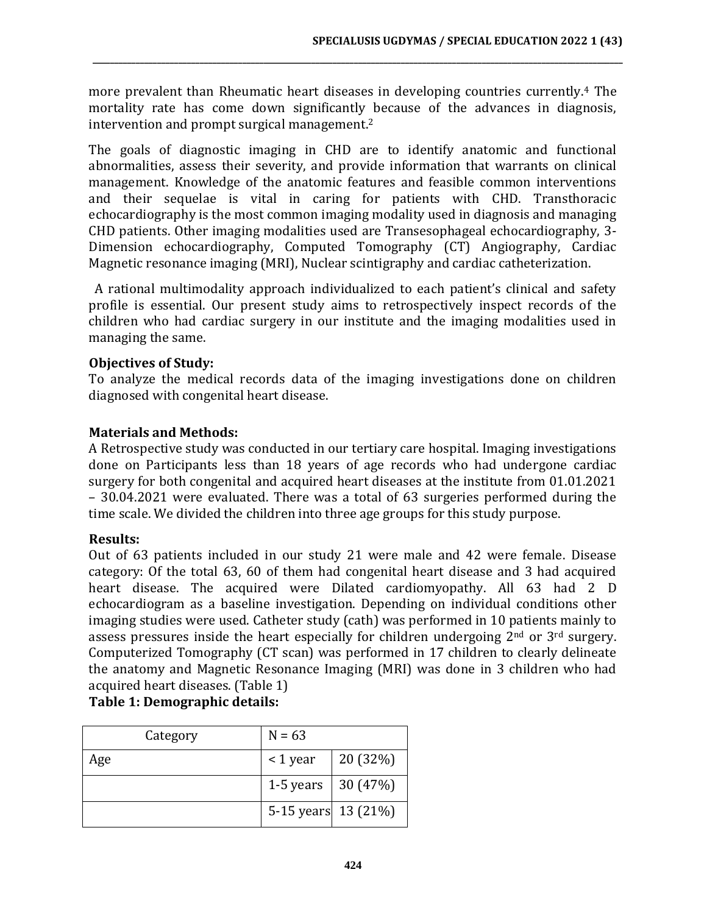more prevalent than Rheumatic heart diseases in developing countries currently.<sup>4</sup> The mortality rate has come down significantly because of the advances in diagnosis, intervention and prompt surgical management.<sup>2</sup>

**\_\_\_\_\_\_\_\_\_\_\_\_\_\_\_\_\_\_\_\_\_\_\_\_\_\_\_\_\_\_\_\_\_\_\_\_\_\_\_\_\_\_\_\_\_\_\_\_\_\_\_\_\_\_\_\_\_\_\_\_\_\_\_\_\_\_\_\_\_\_\_\_\_\_\_\_\_\_\_\_\_\_\_\_\_\_\_\_\_\_\_\_\_\_\_\_\_\_\_\_\_\_\_\_\_\_\_\_\_\_\_\_\_\_\_\_\_\_\_\_\_\_\_\_**

The goals of diagnostic imaging in CHD are to identify anatomic and functional abnormalities, assess their severity, and provide information that warrants on clinical management. Knowledge of the anatomic features and feasible common interventions and their sequelae is vital in caring for patients with CHD. Transthoracic echocardiography is the most common imaging modality used in diagnosis and managing CHD patients. Other imaging modalities used are Transesophageal echocardiography, 3- Dimension echocardiography, Computed Tomography (CT) Angiography, Cardiac Magnetic resonance imaging (MRI), Nuclear scintigraphy and cardiac catheterization.

A rational multimodality approach individualized to each patient's clinical and safety profile is essential. Our present study aims to retrospectively inspect records of the children who had cardiac surgery in our institute and the imaging modalities used in managing the same.

### **Objectives of Study:**

To analyze the medical records data of the imaging investigations done on children diagnosed with congenital heart disease.

#### **Materials and Methods:**

A Retrospective study was conducted in our tertiary care hospital. Imaging investigations done on Participants less than 18 years of age records who had undergone cardiac surgery for both congenital and acquired heart diseases at the institute from 01.01.2021 – 30.04.2021 were evaluated. There was a total of 63 surgeries performed during the time scale. We divided the children into three age groups for this study purpose.

#### **Results:**

Out of 63 patients included in our study 21 were male and 42 were female. Disease category: Of the total 63, 60 of them had congenital heart disease and 3 had acquired heart disease. The acquired were Dilated cardiomyopathy. All 63 had 2 D echocardiogram as a baseline investigation. Depending on individual conditions other imaging studies were used. Catheter study (cath) was performed in 10 patients mainly to assess pressures inside the heart especially for children undergoing  $2<sup>nd</sup>$  or  $3<sup>rd</sup>$  surgery. Computerized Tomography (CT scan) was performed in 17 children to clearly delineate the anatomy and Magnetic Resonance Imaging (MRI) was done in 3 children who had acquired heart diseases. (Table 1)

# **Table 1: Demographic details:**

| Category | $N = 63$                   |          |
|----------|----------------------------|----------|
| Age      | $\leq$ 1 year              | 20 (32%) |
|          | 1-5 years $\vert$ 30 (47%) |          |
|          | 5-15 years 13 (21%)        |          |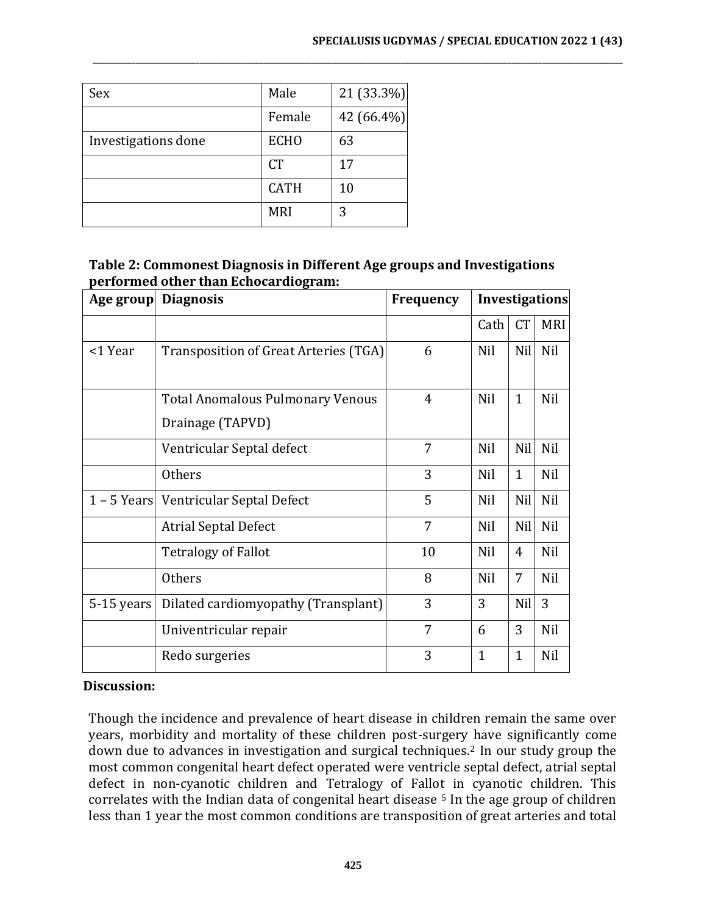| Sex                 | Male        | 21 (33.3%) |
|---------------------|-------------|------------|
|                     | Female      | 42 (66.4%) |
| Investigations done | <b>ECHO</b> | 63         |
|                     | <b>CT</b>   | 17         |
|                     | <b>CATH</b> | 10         |
|                     | <b>MRI</b>  | 3          |

#### **Table 2: Commonest Diagnosis in Different Age groups and Investigations performed other than Echocardiogram:**

**\_\_\_\_\_\_\_\_\_\_\_\_\_\_\_\_\_\_\_\_\_\_\_\_\_\_\_\_\_\_\_\_\_\_\_\_\_\_\_\_\_\_\_\_\_\_\_\_\_\_\_\_\_\_\_\_\_\_\_\_\_\_\_\_\_\_\_\_\_\_\_\_\_\_\_\_\_\_\_\_\_\_\_\_\_\_\_\_\_\_\_\_\_\_\_\_\_\_\_\_\_\_\_\_\_\_\_\_\_\_\_\_\_\_\_\_\_\_\_\_\_\_\_\_**

| Age group  | <b>Diagnosis</b>                        | <b>Frequency</b> | <b>Investigations</b> |              |            |
|------------|-----------------------------------------|------------------|-----------------------|--------------|------------|
|            |                                         |                  | Cath                  | <b>CT</b>    | <b>MRI</b> |
| <1 Year    | Transposition of Great Arteries (TGA)   | 6                | Nil                   | Nil          | Nil        |
|            |                                         |                  |                       |              |            |
|            | <b>Total Anomalous Pulmonary Venous</b> | 4                | Nil                   | $\mathbf{1}$ | Nil        |
|            | Drainage (TAPVD)                        |                  |                       |              |            |
|            | Ventricular Septal defect               | 7                | Nil                   | Nil          | Nil        |
|            | <b>Others</b>                           | 3                | Nil                   | 1            | Nil        |
|            | 1 – 5 Years Ventricular Septal Defect   | 5                | Nil                   | Nil          | Nil        |
|            | <b>Atrial Septal Defect</b>             | 7                | Nil                   | Nil          | Nil        |
|            | <b>Tetralogy of Fallot</b>              | 10               | Nil                   | 4            | Nil        |
|            | <b>Others</b>                           | 8                | Nil                   | 7            | Nil        |
| 5-15 years | Dilated cardiomyopathy (Transplant)     | 3                | 3                     | Nil          | 3          |
|            | Univentricular repair                   | 7                | 6                     | 3            | Nil        |
|            | Redo surgeries                          | 3                | $\mathbf{1}$          | 1            | Nil        |

#### **Discussion:**

Though the incidence and prevalence of heart disease in children remain the same over years, morbidity and mortality of these children post-surgery have significantly come down due to advances in investigation and surgical techniques.<sup>2</sup> In our study group the most common congenital heart defect operated were ventricle septal defect, atrial septal defect in non-cyanotic children and Tetralogy of Fallot in cyanotic children. This correlates with the Indian data of congenital heart disease  $5$  In the age group of children less than 1 year the most common conditions are transposition of great arteries and total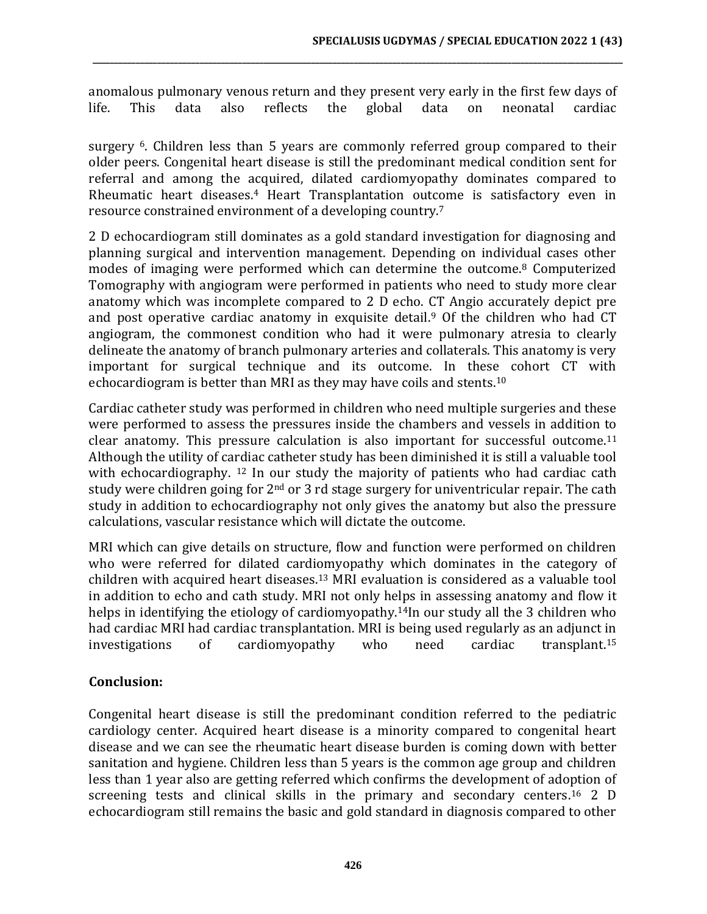anomalous pulmonary venous return and they present very early in the first few days of life. This data also reflects the global data on neonatal cardiac

**\_\_\_\_\_\_\_\_\_\_\_\_\_\_\_\_\_\_\_\_\_\_\_\_\_\_\_\_\_\_\_\_\_\_\_\_\_\_\_\_\_\_\_\_\_\_\_\_\_\_\_\_\_\_\_\_\_\_\_\_\_\_\_\_\_\_\_\_\_\_\_\_\_\_\_\_\_\_\_\_\_\_\_\_\_\_\_\_\_\_\_\_\_\_\_\_\_\_\_\_\_\_\_\_\_\_\_\_\_\_\_\_\_\_\_\_\_\_\_\_\_\_\_\_**

surgery <sup>6</sup>. Children less than 5 years are commonly referred group compared to their older peers. Congenital heart disease is still the predominant medical condition sent for referral and among the acquired, dilated cardiomyopathy dominates compared to Rheumatic heart diseases.<sup>4</sup> Heart Transplantation outcome is satisfactory even in resource constrained environment of a developing country.<sup>7</sup>

2 D echocardiogram still dominates as a gold standard investigation for diagnosing and planning surgical and intervention management. Depending on individual cases other modes of imaging were performed which can determine the outcome.<sup>8</sup> Computerized Tomography with angiogram were performed in patients who need to study more clear anatomy which was incomplete compared to 2 D echo. CT Angio accurately depict pre and post operative cardiac anatomy in exquisite detail.<sup>9</sup> Of the children who had CT angiogram, the commonest condition who had it were pulmonary atresia to clearly delineate the anatomy of branch pulmonary arteries and collaterals. This anatomy is very important for surgical technique and its outcome. In these cohort CT with echocardiogram is better than MRI as they may have coils and stents.<sup>10</sup>

Cardiac catheter study was performed in children who need multiple surgeries and these were performed to assess the pressures inside the chambers and vessels in addition to clear anatomy. This pressure calculation is also important for successful outcome.<sup>11</sup> Although the utility of cardiac catheter study has been diminished it is still a valuable tool with echocardiography. <sup>12</sup> In our study the majority of patients who had cardiac cath study were children going for 2<sup>nd</sup> or 3 rd stage surgery for univentricular repair. The cath study in addition to echocardiography not only gives the anatomy but also the pressure calculations, vascular resistance which will dictate the outcome.

MRI which can give details on structure, flow and function were performed on children who were referred for dilated cardiomyopathy which dominates in the category of children with acquired heart diseases.<sup>13</sup> MRI evaluation is considered as a valuable tool in addition to echo and cath study. MRI not only helps in assessing anatomy and flow it helps in identifying the etiology of cardiomyopathy.<sup>14</sup>In our study all the 3 children who had cardiac MRI had cardiac transplantation. MRI is being used regularly as an adjunct in investigations of cardiomyopathy who need cardiac transplant.<sup>15</sup>

# **Conclusion:**

Congenital heart disease is still the predominant condition referred to the pediatric cardiology center. Acquired heart disease is a minority compared to congenital heart disease and we can see the rheumatic heart disease burden is coming down with better sanitation and hygiene. Children less than 5 years is the common age group and children less than 1 year also are getting referred which confirms the development of adoption of screening tests and clinical skills in the primary and secondary centers.<sup>16</sup> 2 D echocardiogram still remains the basic and gold standard in diagnosis compared to other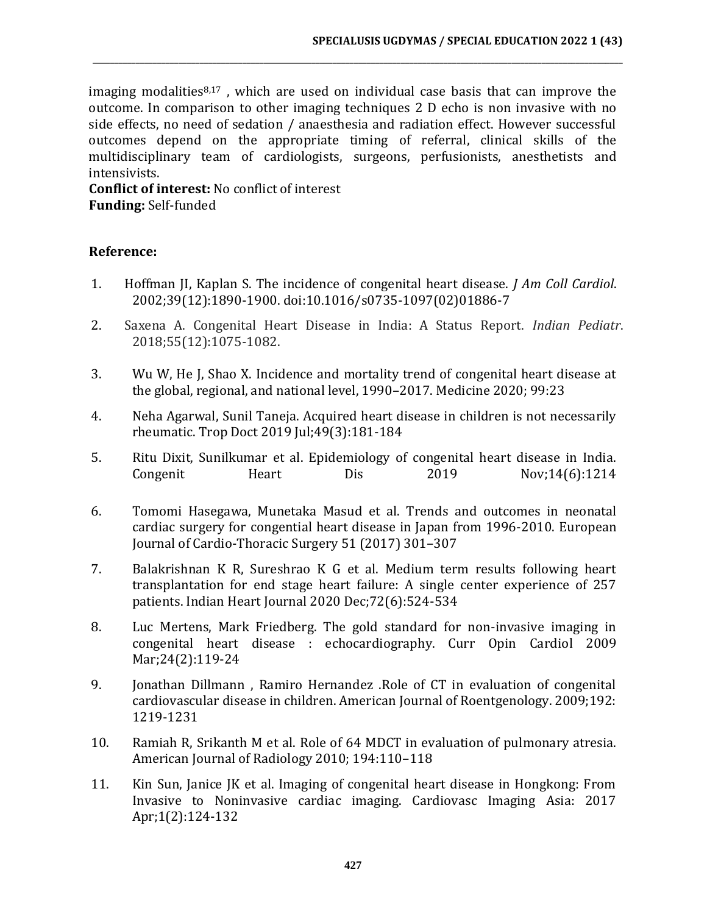imaging modalities $8,17$ , which are used on individual case basis that can improve the outcome. In comparison to other imaging techniques 2 D echo is non invasive with no side effects, no need of sedation / anaesthesia and radiation effect. However successful outcomes depend on the appropriate timing of referral, clinical skills of the multidisciplinary team of cardiologists, surgeons, perfusionists, anesthetists and intensivists.

**\_\_\_\_\_\_\_\_\_\_\_\_\_\_\_\_\_\_\_\_\_\_\_\_\_\_\_\_\_\_\_\_\_\_\_\_\_\_\_\_\_\_\_\_\_\_\_\_\_\_\_\_\_\_\_\_\_\_\_\_\_\_\_\_\_\_\_\_\_\_\_\_\_\_\_\_\_\_\_\_\_\_\_\_\_\_\_\_\_\_\_\_\_\_\_\_\_\_\_\_\_\_\_\_\_\_\_\_\_\_\_\_\_\_\_\_\_\_\_\_\_\_\_\_**

**Conflict of interest:** No conflict of interest **Funding:** Self-funded

#### **Reference:**

- 1. Hoffman JI, Kaplan S. The incidence of congenital heart disease. *J Am Coll Cardiol*. 2002;39(12):1890-1900. doi:10.1016/s0735-1097(02)01886-7
- 2. Saxena A. Congenital Heart Disease in India: A Status Report. *Indian Pediatr*. 2018;55(12):1075-1082.
- 3. Wu W, He J, Shao X. Incidence and mortality trend of congenital heart disease at the global, regional, and national level, 1990–2017. Medicine 2020; 99:23
- 4. Neha Agarwal, Sunil Taneja. Acquired heart disease in children is not necessarily rheumatic. Trop Doct 2019 Jul;49(3):181-184
- 5. Ritu Dixit, Sunilkumar et al. Epidemiology of congenital heart disease in India. Congenit Heart Dis 2019 Nov;14(6):1214
- 6. Tomomi Hasegawa, Munetaka Masud et al. Trends and outcomes in neonatal cardiac surgery for congential heart disease in Japan from 1996-2010. European Journal of Cardio-Thoracic Surgery 51 (2017) 301–307
- 7. Balakrishnan K R, Sureshrao K G et al. Medium term results following heart transplantation for end stage heart failure: A single center experience of 257 patients. Indian Heart Journal 2020 Dec;72(6):524-534
- 8. Luc Mertens, Mark Friedberg. The gold standard for non-invasive imaging in congenital heart disease : echocardiography. Curr Opin Cardiol 2009 Mar;24(2):119-24
- 9. Jonathan Dillmann , Ramiro Hernandez .Role of CT in evaluation of congenital cardiovascular disease in children. American Journal of Roentgenology. 2009;192: 1219-1231
- 10. Ramiah R, Srikanth M et al. Role of 64 MDCT in evaluation of pulmonary atresia. American Journal of Radiology 2010; 194:110–118
- 11. Kin Sun, Janice JK et al. Imaging of congenital heart disease in Hongkong: From Invasive to Noninvasive cardiac imaging. Cardiovasc Imaging Asia: 2017 Apr;1(2):124-132